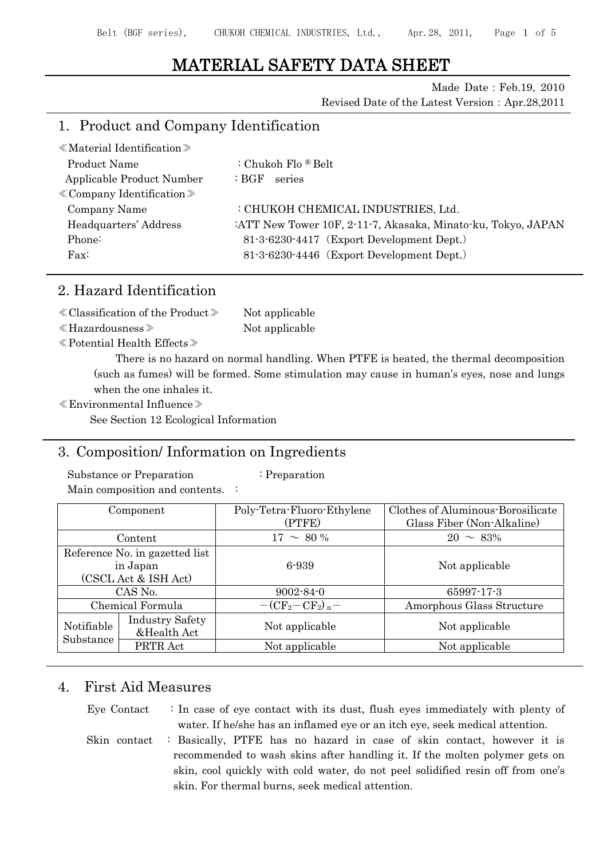# MATERIAL SAFETY DATA SHEET

Made Date:Feb.19, 2010 Revised Date of the Latest Version: Apr.28,2011

# 1. Product and Company Identification

| $\ll$ Material Identification $\gg$ |                                                              |
|-------------------------------------|--------------------------------------------------------------|
| Product Name                        | : Chukoh Flo ® Belt                                          |
| Applicable Product Number           | :BGF<br>series                                               |
| $\&$ Company Identification $\&$    |                                                              |
| Company Name                        | : CHUKOH CHEMICAL INDUSTRIES, Ltd.                           |
| Headquarters' Address               | :ATT New Tower 10F, 2-11-7, Akasaka, Minato-ku, Tokyo, JAPAN |
| Phone:                              | 81-3-6230-4417 (Export Development Dept.)                    |
| $\text{Fax}:$                       | 81-3-6230-4446 (Export Development Dept.)                    |
|                                     |                                                              |

# 2. Hazard Identification

| $\ll$ Classification of the Product $\gg$ | Not applicable |
|-------------------------------------------|----------------|
| $\ll$ Hazardousness $\gg$                 | Not applicable |

≪Potential Health Effects≫

There is no hazard on normal handling. When PTFE is heated, the thermal decomposition (such as fumes) will be formed. Some stimulation may cause in human's eyes, nose and lungs when the one inhales it.

≪Environmental Influence≫

See Section 12 Ecological Information

# 3. Composition/ Information on Ingredients

Substance or Preparation : Preparation

Main composition and contents. :

|                                | Component                             | Poly-Tetra-Fluoro-Ethylene | Clothes of Aluminous-Borosilicate |
|--------------------------------|---------------------------------------|----------------------------|-----------------------------------|
|                                |                                       | (PTFE)                     | Glass Fiber (Non-Alkaline)        |
|                                | Content                               | $17 \sim 80\%$             | $20 \sim 83\%$                    |
| Reference No. in gazetted list |                                       |                            |                                   |
| in Japan                       |                                       | 6-939                      | Not applicable                    |
|                                | (CSCL Act & ISH Act)                  |                            |                                   |
|                                | CAS No.                               | $9002 - 84 - 0$            | $65997 - 17 - 3$                  |
|                                | Chemical Formula                      | $-(CF_2-CF_2)_n-$          | Amorphous Glass Structure         |
| Notifiable                     | <b>Industry Safety</b><br>&Health Act | Not applicable             | Not applicable                    |
| Substance                      | PRTR Act                              | Not applicable             | Not applicable                    |

# 4. First Aid Measures

Eye Contact  $\therefore$  In case of eye contact with its dust, flush eyes immediately with plenty of water. If he/she has an inflamed eye or an itch eye, seek medical attention. Skin contact : Basically, PTFE has no hazard in case of skin contact, however it is

recommended to wash skins after handling it. If the molten polymer gets on skin, cool quickly with cold water, do not peel solidified resin off from one's skin. For thermal burns, seek medical attention.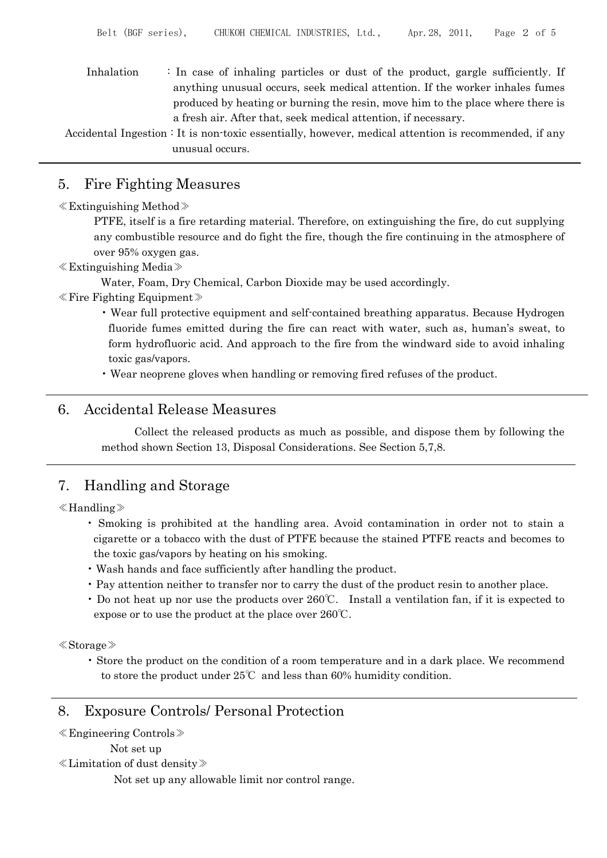Inhalation : In case of inhaling particles or dust of the product, gargle sufficiently. If anything unusual occurs, seek medical attention. If the worker inhales fumes produced by heating or burning the resin, move him to the place where there is a fresh air. After that, seek medical attention, if necessary.

Accidental Ingestion : It is non-toxic essentially, however, medical attention is recommended, if any unusual occurs.

## 5. Fire Fighting Measures

#### ≪Extinguishing Method≫

PTFE, itself is a fire retarding material. Therefore, on extinguishing the fire, do cut supplying any combustible resource and do fight the fire, though the fire continuing in the atmosphere of over 95% oxygen gas.

≪Extinguishing Media≫

Water, Foam, Dry Chemical, Carbon Dioxide may be used accordingly.

- ≪Fire Fighting Equipment≫
	- Wear full protective equipment and self-contained breathing apparatus. Because Hydrogen fluoride fumes emitted during the fire can react with water, such as, human's sweat, to form hydrofluoric acid. And approach to the fire from the windward side to avoid inhaling toxic gas/vapors.
	- Wear neoprene gloves when handling or removing fired refuses of the product.

### 6. Accidental Release Measures

Collect the released products as much as possible, and dispose them by following the method shown Section 13, Disposal Considerations. See Section 5,7,8.

# 7. Handling and Storage

#### ≪Handling≫

- Smoking is prohibited at the handling area. Avoid contamination in order not to stain a cigarette or a tobacco with the dust of PTFE because the stained PTFE reacts and becomes to the toxic gas/vapors by heating on his smoking.
- Wash hands and face sufficiently after handling the product.
- Pay attention neither to transfer nor to carry the dust of the product resin to another place.
- Do not heat up nor use the products over 260℃. Install a ventilation fan, if it is expected to expose or to use the product at the place over 260℃.

≪Storage≫

• Store the product on the condition of a room temperature and in a dark place. We recommend to store the product under 25℃ and less than 60% humidity condition.

### 8. Exposure Controls/ Personal Protection

```
≪Engineering Controls≫
```

```
Not set up
```
≪Limitation of dust density≫

Not set up any allowable limit nor control range.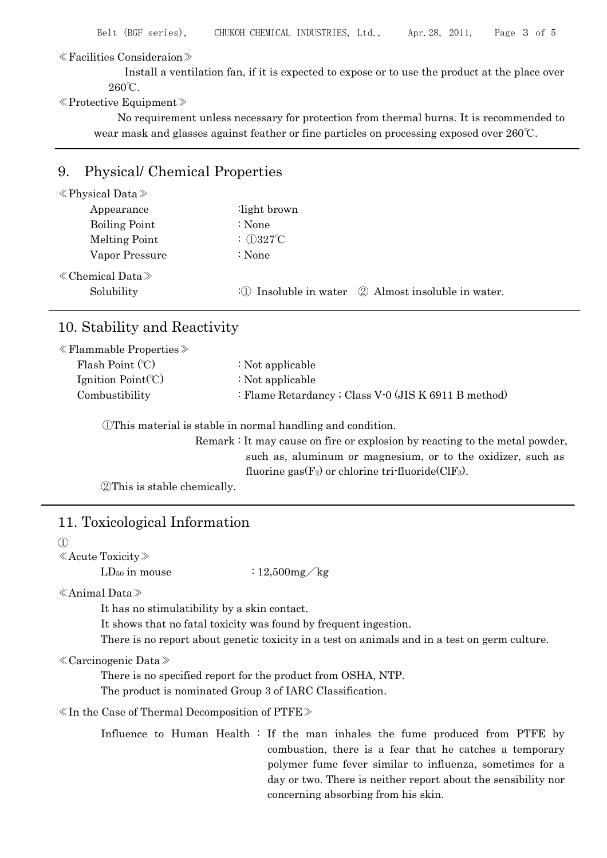≪Facilities Consideraion≫

Install a ventilation fan, if it is expected to expose or to use the product at the place over 260℃.

#### ≪Protective Equipment≫

No requirement unless necessary for protection from thermal burns. It is recommended to wear mask and glasses against feather or fine particles on processing exposed over 260℃.

### 9. Physical/ Chemical Properties

| $\langle$ Physical Data $\rangle$ |                                                                       |
|-----------------------------------|-----------------------------------------------------------------------|
| Appearance                        | light brown:                                                          |
| <b>Boiling Point</b>              | : None                                                                |
| Melting Point                     | : $①327^\circ\text{C}$                                                |
| Vapor Pressure                    | : None                                                                |
| $\ll$ Chemical Data $\gg$         |                                                                       |
| Solubility                        | : $\bigcirc$ Insoluble in water $\bigcirc$ Almost insoluble in water. |

## 10. Stability and Reactivity

| $\ll$ Flammable Properties $\gg$ |                                                      |
|----------------------------------|------------------------------------------------------|
| Flash Point $(C)$                | : Not applicable                                     |
| Ignition $Point(C)$              | : Not applicable                                     |
| Combustibility                   | : Flame Retardancy ; Class V-0 (JIS K 6911 B method) |
|                                  |                                                      |

①This material is stable in normal handling and condition.

Remark : It may cause on fire or explosion by reacting to the metal powder, such as, aluminum or magnesium, or to the oxidizer, such as fluorine gas $(F_2)$  or chlorine tri-fluoride  $(CIF_3)$ .

②This is stable chemically.

# 11. Toxicological Information

 $(1)$ 

≪Acute Toxicity≫

LD<sub>50</sub> in mouse  $: 12,500mg/kg$ 

≪Animal Data≫

It has no stimulatibility by a skin contact.

It shows that no fatal toxicity was found by frequent ingestion.

There is no report about genetic toxicity in a test on animals and in a test on germ culture.

#### ≪Carcinogenic Data≫

There is no specified report for the product from OSHA, NTP.

The product is nominated Group 3 of IARC Classification.

≪In the Case of Thermal Decomposition of PTFE≫

Influence to Human Health : If the man inhales the fume produced from PTFE by combustion, there is a fear that he catches a temporary polymer fume fever similar to influenza, sometimes for a day or two. There is neither report about the sensibility nor concerning absorbing from his skin.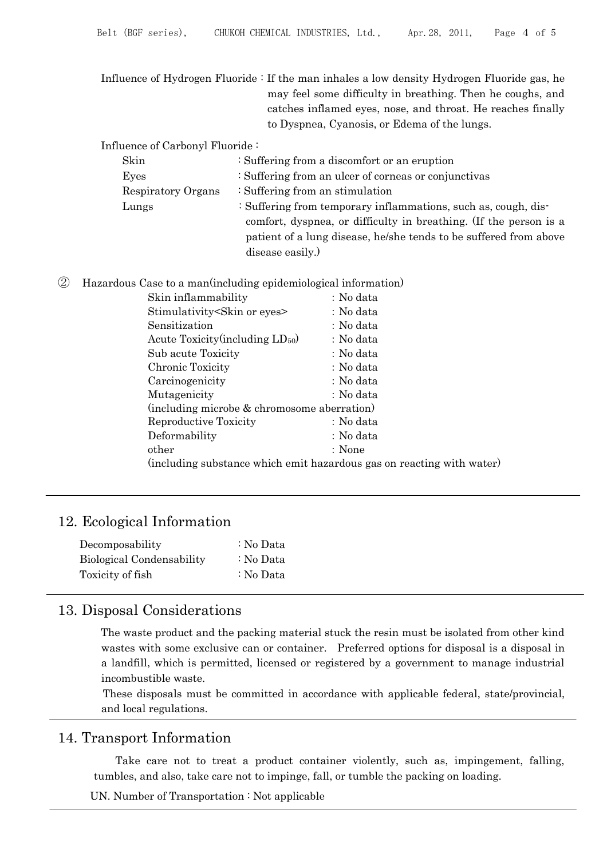Influence of Hydrogen Fluoride : If the man inhales a low density Hydrogen Fluoride gas, he may feel some difficulty in breathing. Then he coughs, and catches inflamed eyes, nose, and throat. He reaches finally to Dyspnea, Cyanosis, or Edema of the lungs.

Influence of Carbonyl Fluoride :

| Skin               | : Suffering from a discomfort or an eruption                      |
|--------------------|-------------------------------------------------------------------|
| Eyes               | : Suffering from an ulcer of corneas or conjunctivas              |
| Respiratory Organs | $\div$ Suffering from an stimulation                              |
| Lungs              | : Suffering from temporary inflammations, such as, cough, dis-    |
|                    | comfort, dyspnea, or difficulty in breathing. (If the person is a |
|                    | patient of a lung disease, he/she tends to be suffered from above |
|                    | disease easily.)                                                  |
|                    |                                                                   |

② Hazardous Case to a man(including epidemiological information)

| Skin inflammability                          | : No data                                                             |
|----------------------------------------------|-----------------------------------------------------------------------|
| Stimulativity Skin or eyes                   | : No data                                                             |
| Sensitization                                | : No data                                                             |
| Acute Toxicity (including LD <sub>50</sub> ) | : No data                                                             |
| Sub acute Toxicity                           | : No data                                                             |
| Chronic Toxicity                             | : No data                                                             |
| Carcinogenicity                              | : No data                                                             |
| Mutagenicity                                 | : No data                                                             |
| (including microbe & chromosome aberration)  |                                                                       |
| Reproductive Toxicity                        | : No data                                                             |
| Deformability                                | : No data                                                             |
| other                                        | : None                                                                |
|                                              | (including substance which emit hazardous gas on reacting with water) |

# 12. Ecological Information

| Decomposability           | : No Data |
|---------------------------|-----------|
| Biological Condensability | : No Data |
| Toxicity of fish          | : No Data |

# 13. Disposal Considerations

The waste product and the packing material stuck the resin must be isolated from other kind wastes with some exclusive can or container. Preferred options for disposal is a disposal in a landfill, which is permitted, licensed or registered by a government to manage industrial incombustible waste.

These disposals must be committed in accordance with applicable federal, state/provincial, and local regulations.

# 14. Transport Information

Take care not to treat a product container violently, such as, impingement, falling, tumbles, and also, take care not to impinge, fall, or tumble the packing on loading.

UN. Number of Transportation : Not applicable